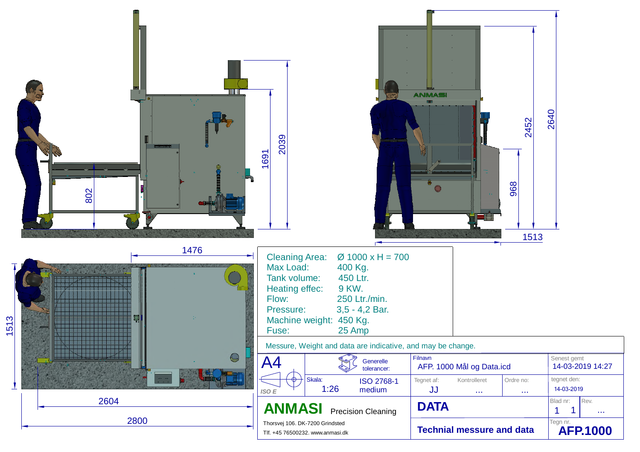|                                 | <b>TITLE</b><br>26, 47,<br>802   | 2039<br>1691                                                                                                                                                                                                                                                                                                 | <b>ANMASI</b><br>2452<br>968<br>1513                                  | 2640                                                            |
|---------------------------------|----------------------------------|--------------------------------------------------------------------------------------------------------------------------------------------------------------------------------------------------------------------------------------------------------------------------------------------------------------|-----------------------------------------------------------------------|-----------------------------------------------------------------|
| 513<br>$\overline{\phantom{0}}$ | 1476<br>,,,,,,,,,,,,,,           | <b>Cleaning Area:</b><br>$\varnothing$ 1000 x H = 700<br>Max Load:<br>400 Kg.<br>450 Ltr.<br>Tank volume:<br>9 KW.<br>Heating effec:<br>250 Ltr./min.<br>Flow:<br>$3,5 - 4,2$ Bar.<br>Pressure:<br>Machine weight: 450 Kg.<br>25 Amp<br>Fuse:<br>Messure, Weight and data are indicative, and may be change. |                                                                       |                                                                 |
|                                 | <b>HINKY HINKY</b><br>$\bigcirc$ | A4<br>Generelle<br>tolerancer:                                                                                                                                                                                                                                                                               | Filnavn<br>AFP. 1000 Mål og Data.icd                                  | Senest gemt<br>14-03-2019 14:27                                 |
|                                 |                                  | Skala:<br>$\phi$ )<br>ISO 2768-1<br>1:26<br>medium<br>ISO E                                                                                                                                                                                                                                                  | Ordre no:<br>Tegnet af:<br>Kontrolleret<br>JJ<br>$\sim$<br>$\sim 100$ | tegnet den:<br>14-03-2019                                       |
|                                 | 2604                             | <b>ANMASI</b><br><b>Precision Cleaning</b>                                                                                                                                                                                                                                                                   | <b>DATA</b>                                                           | Blad nr:<br>Rev.<br>$\mathbf 1$<br>$\mathbf 1$<br>$\sim$ $\sim$ |
|                                 | 2800                             | Thorsvej 106. DK-7200 Grindsted<br>Tlf. +45 76500232. www.anmasi.dk                                                                                                                                                                                                                                          | <b>Technial messure and data</b>                                      | Tegn nr.<br><b>AFP.1000</b>                                     |